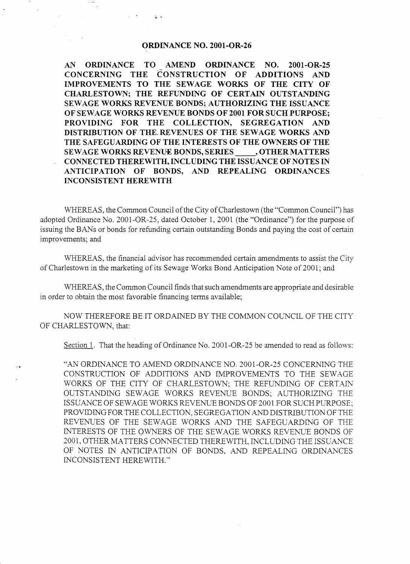## ORDINANCE NO. 2001-OR-26

L-

AN ORDINANCE TO AMEND ORDINANCE NO. 2001-OR-25<br>CONCERNING THE CONSTRUCTION OF ADDITIONS AND CONSTRUCTION OF IMPROVEMENTS TO THE SEWAGE WORKS OF THE CITY OF CHARLESTOWN; THE REFUNDING OF CERTAIN OUTSTANDING SEWAGE WORKS REVENUE BONDS; AUTHORIZING THE ISSUANCE OF SEWAGE WORKS REVENUE BONDS OF 2001 FOR SUCH PURPOSE; PROVIDING FOR THE COLLECTION, SEGREGATION AND DISTRIBUTION **OF** THE REVENUES OF THE SEWAGE WORKS AND THE SAFEGUARDING OF THE INTERESTS OF THE OWNERS OF THE SEWAGE WORKS REVENUE BONDS, SERIES , OTHER MATTERS CONNECTED THEREWITH, INCLUDING THE ISSUANCE OF NOTES IN ANTICIPATION OF BONDS, AND REPEALING ORDINANCES INCONSISTENT HEREWITH

WHEREAS, the Common Council of the City of Charlestown (the "Common Council") has adopted Ordinance No, 2001-OR-25, dated October 1, 2001 (the "Ordinance") for the purpose of issuing the BANs or bonds for refunding certain outstanding Bonds and paying the cost of certain improvements; and

WHEREAS, the financial advisor has recommended certain amendments to assist the City of Charlestown in the marketing of its Sewage Works Bond Anticipation Note of 2001; and

WHEREAS, the Common Council finds that such amendments are appropriate and desirable in order to obtain the most favorable financing terms available;

NOW THEREFORE BE IT ORDAINED BY THE COMMON COUNCIL OF THE CITY OF CHARLESTOWN, that:

Section 1. That the heading of Ordinance No. 2001-OR-25 be amended to read as follows:

"AN ORDINANCE TO AMEND ORDINANCE NO. 2001-OR-25 CONCERNING THE CONSTRUCTION OF ADDITIONS AND IMPROVEMENTS TO THE SEWAGE WORKS OF THE CITY OF CHARLESTOWN; THE REFUNDING OF CERTAIN OUTSTANDING SEWAGE WORKS REVENUE BONDS; AUTHORIZING THE ISSUANCE OF SEWAGE WORKS REVENUE BONDS OF 2001 FOR SUCH PURPOSE; PROVIDING FOR THE COLLECTION, SEGREGATION AND DISTRIBUTION OF THE REVENUES OF THE SEWAGE WORKS AND THE SAFEGUARDING OF THE INTERESTS OF THE OWNERS OF THE SEWAGE WORKS REVENUE BONDS OF 2001, OTHER MATTERS CONNECTED THEREWITH. INCLUDING THE ISSUANCE OF NOTES IN ANTICIPATION OF BONDS, *AND* REPEALING ORDINAICES INCONSISTENT HEREWITH."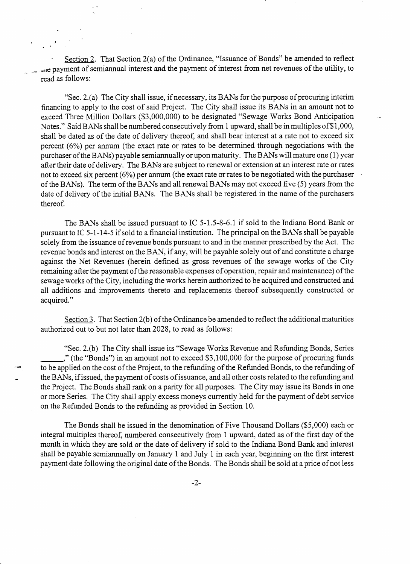Section 2. That Section 2(a) of the Ordinance, "Issuance of Bonds" be amended to reflect the payment of semiannual interest and the payment of interest from net revenues of the utility, to read **as** follows:

"Sec. 2.(a) The City shall issue, if necessary, its BANs for the purpose of procuring interim financing to apply to the cost of said Project. The City shall issue its BANs in an amount not to exceed Three Million Dollars (\$3,000,000) to be designated "Sewage Works Bond Anticipation Notes." Said BANs shall be numbered consecutively from 1 upward, shall be in multiples of \$1,000, shall be dated as of the date of delivery thereof, and shall bear interest at a rate not to exceed six percent (6%) per annum (the exact rate or rates to be determined through negotiations with the purchaser of the BANs) payable semiannually or upon maturity. The BANs will mature one (1) year after their date of delivery. The BANs are subject to renewal or extension at an interest rate or rates not to exceed six percent (6%) per annum (the exact rate or rates to be negotiated with the purchaser of the BANs). The term of the BANs and all renewal BANs may not exceed five *(5)* years from the date of delivery of the initial BANs. The BANs shall be registered in the name of the purchasers thereof.

The BANs shall be issued pursuant to IC 5-1.5-8-6.1 if sold to the Indiana Bond Bank or pursuant to IC 5-1-14-5 if sold to a financial institution. The principal on the BANs shall be payable solely from the issuance of revenue bonds pursuant to and in the manner prescribed by the Act. The revenue bonds and interest on the BAN, if any, will be payable solely out of and constitute a charge against the Net Revenues (herein defined as gross revenues of the sewage works of the City remaining after the payment of the reasonable expenses of operation, repair and maintenance) of the sewage works of the City, including the works herein authorized to be acquired and constructed and all additions and improvements thereto and replacements thereof subsequently constructed or acquired."

Section 3. That Section  $2(b)$  of the Ordinance be amended to reflect the additional maturities authorized out to but not later than 2028, to read as follows:

"Sec. 2.(b) The City shall issue its "Sewage Works Revenue and Refunding Bonds, Series ," (the "Bonds") in an amount not to exceed \$3,100,000 for the purpose of procuring funds to be applied on the cost of the Project, to the refunding of the Refunded Bonds, to the refunding of the BANs, if issued, the payment of costs of issuance, and all other costs related to the refunding and the Project. The Bonds shall rank on a parity for all purposes. The City may issue its Bonds in one or more Series. The City shall apply excess moneys currently held for the payment of debt service on the Refunded Bonds to the refunding as provided in Section 10.

The Bonds shall be issued in the denomination of Five Thousand Dollars (\$5,000) each or integral multiples thereof, numbered consecutively from 1 upward, dated as of the first day of the month in which they are sold or the date of delivery if sold to the Indiana Bond Bank and interest shall be payable semiannually on January 1 and July 1 in each year, beginning on the first interest payment date following the original date of the Bonds. The Bonds shall be sold at a price of not less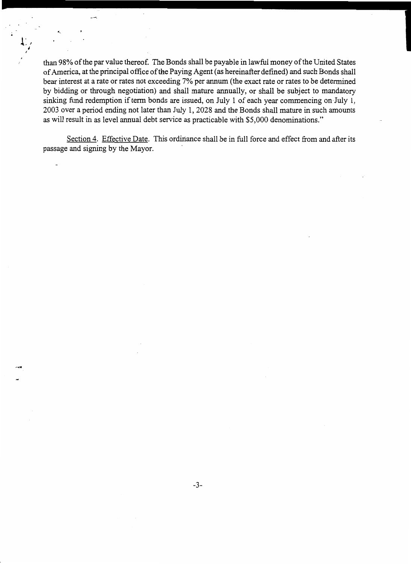than 98% of the par value thereof. The Bonds shall be payable in lawful money of the United States of America, at the principal office of the Paying Agent (as hereinafter defined) and such Bonds shall bear interest at a rate or rates not exceeding **7%** per annum (the exact rate or rates to be determined by bidding or through negotiation) and shall mature annually, or shall be subject to mandatory sinking fund redemption if term bonds are issued, on July 1 of each year commencing on July 1, 2003 over a period ending not later than July 1,2028 and the Bonds shall mature in such amounts as will result in as level annual debt service as practicable with \$5,000 denominations."

Section 4. Effective Date. This ordinance shall be in full force and effect from and after its passage and signing by the Mayor.